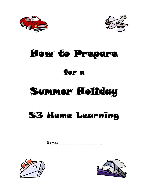



# How to Prepare

# for a

# Summer Holiday

# S3 Home Learning

Name: \_\_\_\_\_\_\_\_\_\_\_\_\_\_\_\_\_\_\_\_\_\_\_\_\_



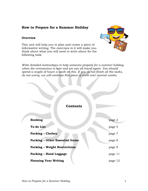### **How to Prepare for a Summer Holiday**

#### **Overview**



This unit will help you to plan and create a piece of informative writing. The exercises in it will make you think about what you will need to write about for the following task:

*Write detailed instructions to help someone prepare for a summer holiday when the coronavirus is over and we can all travel again. You should spend a couple of hours a week on this. If you do not finish all the tasks, do not worry, we will continue this piece of work over several weeks.*

| <b>Contents</b>                        |         |
|----------------------------------------|---------|
| <b>Booking</b>                         | page 2  |
| <b>To-do List</b>                      | page 5  |
| <b>Packing - Clothes</b>               | page 7  |
| <b>Packing - Other Essential Items</b> | page 8  |
| <b>Packing - Weight Restrictions</b>   | page 9  |
| Packing - Hand Luggage                 | page 11 |
| <b>Planning Your Writing</b>           | page 12 |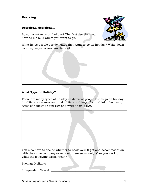# **Booking**

#### **Decisions, decisions…**

So you want to go on holiday? The first decision you have to make is where you want to go.



What helps people decide where they want to go on holiday? Write down as many ways as you can think of.



#### **What Type of Holiday?**

There are many types of holiday as different people like to go on holiday for different reasons and to do different things. Try to think of as many types of holiday as you can and write them down.



You also have to decide whether to book your flight and accommodation with the same company or to book them separately. Can you work out what the following terms mean?

Package Holiday: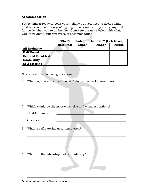#### **Accommodation**

You're almost ready to book your holiday but you need to decide what kind of accommodation you're going to book and what you're going to do for meals when you're on holiday. Complete the table below with what you know about different types of accommodation.

|                          | What's Included in the Price? (tick boxes) |       |        |               |
|--------------------------|--------------------------------------------|-------|--------|---------------|
|                          | <b>Breakfast</b>                           | Lunch | Dinner | <b>Drinks</b> |
| <b>All-Inclusive</b>     |                                            |       |        |               |
| <b>Half Board</b>        |                                            |       |        |               |
| <b>Bed and Breakfast</b> |                                            |       |        |               |
| <b>Room Only</b>         |                                            |       |        |               |
| Self-catering            |                                            |       |        |               |

Now answer the following questions:

1. Which option is the least hassle? Give a reason for you answer.

2. Which would be the most expensive and cheapest options?

Most Expensive:

 $\blacksquare$  . The contract of the contract of the contract of the contract of the contract of the contract of the contract of the contract of the contract of the contract of the contract of the contract of the contract of the

 $\blacksquare$ 

\_\_\_\_\_\_\_\_\_\_\_\_\_\_\_\_\_\_\_\_\_\_\_\_\_\_\_\_\_\_\_\_\_\_\_\_\_\_\_\_\_\_\_\_\_\_\_\_\_\_\_\_\_\_\_\_\_\_\_\_\_\_\_\_\_\_\_\_

 $\blacksquare$ 

\_\_\_\_\_\_\_\_\_\_\_\_\_\_\_\_\_\_\_\_\_\_\_\_\_\_\_\_\_\_\_\_\_\_\_\_\_\_\_\_\_\_\_\_\_\_\_\_\_\_\_\_\_\_\_\_\_\_\_\_\_\_\_\_\_\_\_\_

 $\blacksquare$ 

 $\_$  , and the contribution of the contribution of  $\mathcal{L}_\mathcal{A}$  , and the contribution of  $\mathcal{L}_\mathcal{A}$ 

 $\blacksquare$ 

\_\_\_\_\_\_\_\_\_\_\_\_\_\_\_\_\_\_\_\_\_\_\_\_\_\_\_\_\_\_\_\_\_\_\_\_\_\_\_\_\_\_\_\_\_\_\_\_\_\_\_\_\_\_\_\_\_\_\_\_\_\_\_\_\_\_\_\_

\_\_\_\_\_\_\_\_\_\_\_\_\_\_\_\_\_\_\_\_\_\_\_\_\_\_\_\_\_\_\_\_\_\_\_\_\_\_\_\_\_\_\_\_\_\_\_\_\_\_\_\_\_\_\_\_\_\_\_\_\_\_\_\_\_\_\_\_

Cheapest:

3. What is self-catering accommodation?

4. What are the advantages of self-catering?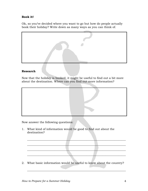#### **Book it!**

Ok, so you've decided where you want to go but how do people actually book their holiday? Write down as many ways as you can think of.



#### **Research**

Now that the holiday is booked, it might be useful to find out a bit more about the destination. Where can you find out more information?



Now answer the following questions:

1. What kind of information would be good to find out about the destination?

2. What basic information would be useful to know about the country?

 $\blacksquare$ 

\_\_\_\_\_\_\_\_\_\_\_\_\_\_\_\_\_\_\_\_\_\_\_\_\_\_\_\_\_\_\_\_\_\_\_\_\_\_\_\_\_\_\_\_\_\_\_\_\_\_\_\_\_\_\_\_\_\_\_\_\_\_\_\_\_\_\_\_

\_\_\_\_\_\_\_\_\_\_\_\_\_\_\_\_\_\_\_\_\_\_\_\_\_\_\_\_\_\_\_\_\_\_\_\_\_\_\_\_\_\_\_\_\_\_\_\_\_\_\_\_\_\_\_\_\_\_\_\_\_\_\_\_\_\_\_\_

\_\_\_\_\_\_\_\_\_\_\_\_\_\_\_\_\_\_\_\_\_\_\_\_\_\_\_\_\_\_\_\_\_\_\_\_\_\_\_\_\_\_\_\_\_\_\_\_\_\_\_\_\_\_\_\_\_\_\_\_\_\_\_\_\_\_\_\_

\_\_\_\_\_\_\_\_\_\_\_\_\_\_\_\_\_\_\_\_\_\_\_\_\_\_\_\_\_\_\_\_\_\_\_\_\_\_\_\_\_\_\_\_\_\_\_\_\_\_\_\_\_\_\_\_\_\_\_\_\_\_\_\_\_\_\_\_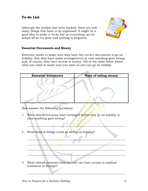Although the holiday has been booked, there are still many things that have to be organised. It might be a good idea to make a 'to-do list' so everything can be ticked off as it's done and nothing is forgotten.



#### **Essential Documents and Money**

Everyone needs to make sure they have the correct documents to go on holiday; that they have made arrangements in case anything goes wrong; and, of course, they have access to money. Fill in the table below about what you need to make sure you have so you can go on holiday.

| <b>Essential documents</b> | Ways of taking money |
|----------------------------|----------------------|
|                            |                      |

Now answer the following questions:

1. What should everyone have arranged before they go on holiday in case anything goes wrong?

 $\Box$ 

 $\blacksquare$ 

 $\blacksquare$ 

 $\blacksquare$ 

 $\blacksquare$ 

\_\_\_\_\_\_\_\_\_\_\_\_\_\_\_\_\_\_\_\_\_\_\_\_\_\_\_\_\_\_\_\_\_\_\_\_\_\_\_\_\_\_\_\_\_\_\_\_\_\_\_\_\_\_\_\_\_\_\_\_\_\_\_\_\_\_\_\_

2. What kind of things could go wrong on holiday?

3. What should everyone have so they can have access to medical treatment in Europe?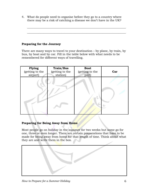4. What do people need to organise before they go to a country where there may be a risk of catching a disease we don't have in the UK?

 $\_$  , and the contribution of the contribution of  $\mathcal{L}_\mathcal{A}$  , and the contribution of  $\mathcal{L}_\mathcal{A}$ 

 $\_$  , and the set of the set of the set of the set of the set of the set of the set of the set of the set of the set of the set of the set of the set of the set of the set of the set of the set of the set of the set of th

#### **Preparing for the Journey**

There are many ways to travel to your destination – by plane, by train, by bus, by boat and by car. Fill in the table below with what needs to be remembered for different ways of travelling.

| Flying          | <b>Train/Bus</b> | <b>Boat</b>     | Car |
|-----------------|------------------|-----------------|-----|
| (getting to the | (getting to the  | (getting to the |     |
| airport)        | station)         | port)           |     |
|                 |                  |                 |     |

#### **Preparing for Being Away from Home**

Most people go on holiday in the summer for two weeks but some go for one, three or even longer. There are certain preparations that have to be made for being away from home for that length of time. Think about what they are and write them in the box.

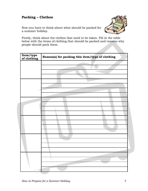# **Packing – Clothes**

Now you have to think about what should be packed for a summer holiday.



Firstly, think about the clothes that need to be taken. Fill in the table below with the items of clothing that should be packed and reasons why people should pack them.

| Item/type<br>of clothing | Reason(s) for packing this item/type of clothing |
|--------------------------|--------------------------------------------------|
|                          |                                                  |
|                          |                                                  |
|                          |                                                  |
|                          |                                                  |
|                          |                                                  |
|                          |                                                  |
|                          |                                                  |
|                          |                                                  |
|                          |                                                  |
|                          |                                                  |
|                          |                                                  |
|                          |                                                  |
|                          |                                                  |
|                          |                                                  |
|                          |                                                  |
|                          |                                                  |
|                          |                                                  |
|                          |                                                  |
|                          |                                                  |
|                          |                                                  |
|                          |                                                  |
|                          |                                                  |
|                          |                                                  |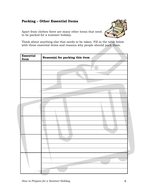### **Packing – Other Essential Items**

Apart from clothes there are many other items that need to be packed for a summer holiday.

Think about anything else that needs to be taken. Fill in the table below with these essential items and reasons why people should pack them.

| <b>Essential</b><br>Item | Reason(s) for packing this item |
|--------------------------|---------------------------------|
|                          |                                 |
|                          |                                 |
|                          |                                 |
|                          |                                 |
|                          |                                 |
|                          |                                 |
|                          |                                 |
|                          |                                 |
|                          |                                 |
|                          |                                 |
|                          |                                 |
|                          |                                 |
|                          |                                 |
|                          |                                 |
|                          |                                 |
|                          |                                 |
|                          |                                 |
|                          |                                 |
|                          |                                 |
|                          |                                 |
|                          |                                 |
|                          |                                 |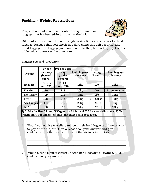## **Packing – Weight Restrictions**

People should also remember about weight limits for luggage that is checked-in to travel in the hold.



Different airlines have different weight restrictions and charges for hold luggage (luggage that you check in before going through security) and hand luggage (the luggage you can take onto the plane with you). Use the table below to answer the questions.

| <b>Airline</b>    | Per bag<br>each way<br>(booked<br>online) | Per bag each<br>way<br>(at the<br>airport) | <b>Hold luggage</b><br>allowance | Per kg<br><b>Excess</b> | <b>Hand luggage</b><br>allowance |
|-------------------|-------------------------------------------|--------------------------------------------|----------------------------------|-------------------------|----------------------------------|
| <b>Ryanair</b>    | $1^{st}$ : £15<br>rest: £35               | $1^{st}$ : £35<br>rest: $£70$              | 15kg                             | £20                     | 10 <sub>kg</sub>                 |
| <b>EasyJet</b>    | $\pmb{\pmb{\pmb{\mathfrak{g}}}}$          | £18                                        | 20kg                             | \$10                    | By volume $(2)$                  |
| <b>BMI</b> Baby   | $\pmb{\pmb{\epsilon}}$                    | £15                                        | 18kg                             | \$10                    | 10kg                             |
| <b>Flybe</b>      | \$8                                       | £13                                        | 20kg                             | £10-£20 $(1)$           | 10 <sub>kg</sub>                 |
| <b>Aer Lingus</b> | \$10                                      | $\pounds15$                                | 20kg                             | £6                      | 6 <sub>kg</sub>                  |
| Jet2              | \$8                                       | £18                                        | 22kg                             | \$8                     | 10kg                             |

#### **Luggage Fees and Allowances**

**1) £10/kg for first 3 kilos, £15/kg for 4 - 6 kilos and £20 for every kilo above. 2) No weight limit, but dimensions must not exceed 55 x 40 x 20cm.**

1. Would you advise travellers to book their hold luggage online or wait to pay at the airport? Give a reason for your answer and give evidence using the prices for one of the airlines in the table.

 $\_$ 

\_\_\_\_\_\_\_\_\_\_\_\_\_\_\_\_\_\_\_\_\_\_\_\_\_\_\_\_\_\_\_\_\_\_\_\_\_\_\_\_\_\_\_\_\_\_\_\_\_\_\_\_\_\_\_\_\_\_\_\_\_\_\_\_\_\_\_\_

 $\blacksquare$ 

 $\overline{\phantom{a}}$  , and the contract of the contract of the contract of the contract of the contract of the contract of the contract of the contract of the contract of the contract of the contract of the contract of the contrac

2. Which airline is most generous with hand luggage allowance? Give evidence for your answer.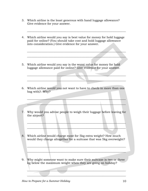- 3. Which airline is the least generous with hand luggage allowance? Give evidence for your answer.
- 4. Which airline would you say is best value for money for hold luggage paid for online? (You should take cost and hold luggage allowance into consideration.) Give evidence for your answer.

\_\_\_\_\_\_\_\_\_\_\_\_\_\_\_\_\_\_\_\_\_\_\_\_\_\_\_\_\_\_\_\_\_\_\_\_\_\_\_\_\_\_\_\_\_\_\_\_\_\_\_\_\_\_\_\_\_\_\_\_\_\_\_\_\_\_\_\_

 $\blacksquare$  . The contract of the contract of the contract of the contract of the contract of the contract of the contract of the contract of the contract of the contract of the contract of the contract of the contract of the

 $\blacksquare$ 

 $\blacksquare$ 

\_\_\_\_\_\_\_\_\_\_\_\_\_\_\_\_\_\_\_\_\_\_\_\_\_\_\_\_\_\_\_\_\_\_\_\_\_\_\_\_\_\_\_\_\_\_\_\_\_\_\_\_\_\_\_\_\_\_\_\_\_\_\_\_\_\_\_\_

 $\overline{\phantom{a}}$  , and the set of the set of the set of the set of the set of the set of the set of the set of the set of the set of the set of the set of the set of the set of the set of the set of the set of the set of the s

 $\mathcal{L} = \mathcal{L} \mathcal{L} = \mathcal{L} \mathcal{L} = \mathcal{L} \mathcal{L} = \mathcal{L} \mathcal{L} = \mathcal{L} \mathcal{L} = \mathcal{L} \mathcal{L} = \mathcal{L} \mathcal{L} = \mathcal{L} \mathcal{L} = \mathcal{L} \mathcal{L} = \mathcal{L} \mathcal{L} = \mathcal{L} \mathcal{L} = \mathcal{L} \mathcal{L} = \mathcal{L} \mathcal{L} = \mathcal{L} \mathcal{L} = \mathcal{L} \mathcal{L} = \mathcal{L} \mathcal{L} = \mathcal{L$ 

\_\_\_\_\_\_\_\_\_\_\_\_\_\_\_\_\_\_\_\_\_\_\_\_\_\_\_\_\_\_\_\_\_\_\_\_\_\_\_\_\_\_\_\_\_\_\_\_\_\_\_\_\_\_\_\_\_\_\_\_\_\_\_\_\_\_\_\_

\_\_\_\_\_\_\_\_\_\_\_\_\_\_\_\_\_\_\_\_\_\_\_\_\_\_\_\_\_\_\_\_\_\_\_\_\_\_\_\_\_\_\_\_\_\_\_\_\_\_\_\_\_\_\_\_\_\_\_\_\_\_\_\_\_\_\_\_

\_\_\_\_\_\_\_\_\_\_\_\_\_\_\_\_\_\_\_\_\_\_\_\_\_\_\_\_\_\_\_\_\_\_\_\_\_\_\_\_\_\_\_\_\_\_\_\_\_\_\_\_\_\_\_\_\_\_\_\_\_\_\_\_\_\_\_\_

 $\overline{\phantom{a}}$  , and the contribution of the contribution of the contribution of the contribution of the contribution of the contribution of the contribution of the contribution of the contribution of the contribution of the

\_\_\_\_\_\_\_\_\_\_\_\_\_\_\_\_\_\_\_\_\_\_\_\_\_\_\_\_\_\_\_\_\_\_\_\_\_\_\_\_\_\_\_\_\_\_\_\_\_\_\_\_\_\_\_\_\_\_\_\_\_\_\_\_\_\_\_\_

 $\blacksquare$ 

- 5. Which airline would you say is the worst value for money for hold luggage allowance paid for online? Give evidence for your answer.
- 6. Which airline would you not want to have to check-in more than one bag with? Why?
- 7. Why would you advise people to weigh their luggage before leaving for the airport?
- 8. Which airline would charge most for 5kg extra weight? How much would they charge altogether for a suitcase that was 5kg overweight?
- 9. Why might someone want to make sure their suitcase is two or three kg below the maximum weight when they are going on holiday?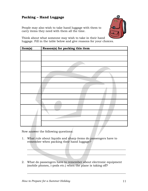# **Packing – Hand Luggage**

People may also wish to take hand luggage with them to carry items they need with them all the time.



Think about what someone may wish to take in their hand luggage. Fill in the table below and give reasons for your choices.

| Item(s) | Reason(s) for packing this item |
|---------|---------------------------------|
|         |                                 |
|         |                                 |
|         |                                 |
|         |                                 |
|         |                                 |
|         |                                 |
|         |                                 |
|         |                                 |
|         |                                 |
|         |                                 |
|         |                                 |
|         |                                 |
|         |                                 |
|         |                                 |
|         |                                 |

Now answer the following questions:

- 1. What rule about liquids and sharp items do passengers have to remember when packing their hand luggage?
- 2. What do passengers have to remember about electronic equipment (mobile phones, i-pods etc.) when the plane is taking off?

 $\mathcal{L}=\mathcal{L}=\mathcal{L}=\mathcal{L}=\mathcal{L}=\mathcal{L}=\mathcal{L}=\mathcal{L}=\mathcal{L}=\mathcal{L}=\mathcal{L}=\mathcal{L}=\mathcal{L}=\mathcal{L}=\mathcal{L}=\mathcal{L}=\mathcal{L}=\mathcal{L}=\mathcal{L}=\mathcal{L}=\mathcal{L}=\mathcal{L}=\mathcal{L}=\mathcal{L}=\mathcal{L}=\mathcal{L}=\mathcal{L}=\mathcal{L}=\mathcal{L}=\mathcal{L}=\mathcal{L}=\mathcal{L}=\mathcal{L}=\mathcal{L}=\mathcal{L}=\mathcal{L}=\mathcal{$ 

 $\mathcal{L}=\mathcal{L}=\mathcal{L}=\mathcal{L}=\mathcal{L}=\mathcal{L}=\mathcal{L}=\mathcal{L}=\mathcal{L}=\mathcal{L}=\mathcal{L}=\mathcal{L}=\mathcal{L}=\mathcal{L}=\mathcal{L}=\mathcal{L}=\mathcal{L}=\mathcal{L}=\mathcal{L}=\mathcal{L}=\mathcal{L}=\mathcal{L}=\mathcal{L}=\mathcal{L}=\mathcal{L}=\mathcal{L}=\mathcal{L}=\mathcal{L}=\mathcal{L}=\mathcal{L}=\mathcal{L}=\mathcal{L}=\mathcal{L}=\mathcal{L}=\mathcal{L}=\mathcal{L}=\mathcal{$ 

\_\_\_\_\_\_\_\_\_\_\_\_\_\_\_\_\_\_\_\_\_\_\_\_\_\_\_\_\_\_\_\_\_\_\_\_\_\_\_\_\_\_\_\_\_\_\_\_\_\_\_\_\_\_\_\_\_\_\_\_\_\_\_\_\_\_\_\_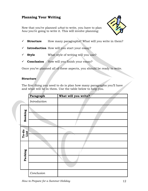## **Planning Your Writing**

Now that you've planned *what* to write, you have to plan *how* you're going to write it. This will involve planning:



- ✓ **Structure** How many paragraphs? What will you write in them?
- ✓ **Introduction** How will you start your essay?
- ✓ **Style** What style of writing will you use?
- ✓ **Conclusion** How will you finish your essay?

Once you've planned all of these aspects, you should be ready to write.

#### **Structure**

The first thing you need to do is plan how many paragraphs you'll have and what will be in them. Use the table below to help you.

|               | Paragraph    | What will you write? |
|---------------|--------------|----------------------|
|               | Introduction |                      |
|               |              |                      |
| Booking       |              |                      |
|               |              |                      |
| To-do<br>List |              |                      |
|               |              |                      |
|               |              |                      |
|               |              |                      |
| Packing       |              |                      |
|               |              |                      |
|               | Conclusion   |                      |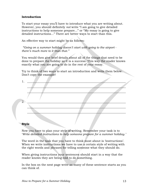#### **Introduction**

To start your essay you'll have to introduce what you are writing about. However, you should definitely *not* write "I am going to give detailed instructions to help someone prepare..." or "My essay is going to give detailed instructions..." There are better ways to start than this.

An effective way to start might be as follows:

*"Going on a summer holiday doesn't start with going to the airport there's much more to it than that."*

You would then give brief details about all of the things that need to be done to prepare the holiday so it is a success. This way the reader knows exactly what you are going to do in the rest of your essay.

Try to think of two ways to start an introduction and write them below. Don't copy the example!

| 2.           |  |
|--------------|--|
|              |  |
|              |  |
|              |  |
| <b>Style</b> |  |

Now you have to plan your style of writing. Remember your task is to '*Write detailed instructions to help someone prepare for a summer holiday.'*

The word in the task that you have to think most about is 'instructions'. When we write instructions we have to use a certain style of writing with the right words and phrases for telling someone what they should do.

When giving instructions your sentences should start in a way that the reader knows they are being told to do something.

In the box on the next page write as many of these sentence starts as you can think of.